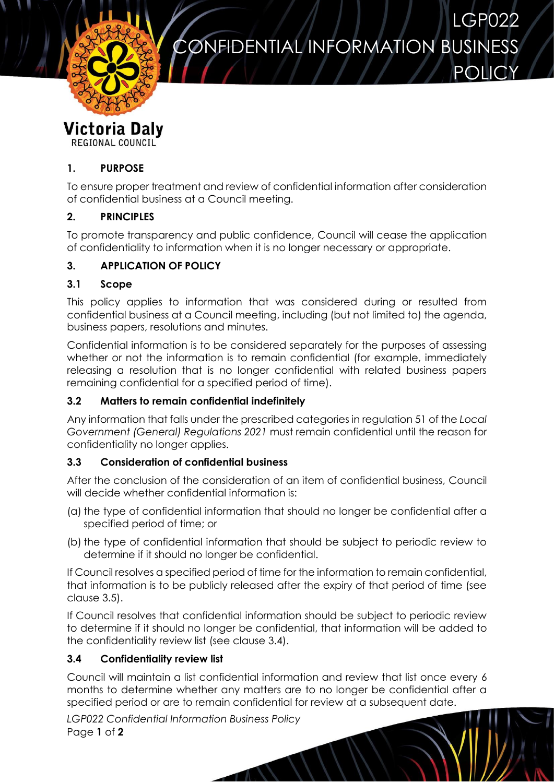

**POLICY** 



**REGIONAL COUNCIL** 

### **1. PURPOSE**

To ensure proper treatment and review of confidential information after consideration of confidential business at a Council meeting.

# **2. PRINCIPLES**

To promote transparency and public confidence, Council will cease the application of confidentiality to information when it is no longer necessary or appropriate.

# **3. APPLICATION OF POLICY**

### **3.1 Scope**

This policy applies to information that was considered during or resulted from confidential business at a Council meeting, including (but not limited to) the agenda, business papers, resolutions and minutes.

Confidential information is to be considered separately for the purposes of assessing whether or not the information is to remain confidential (for example, immediately releasing a resolution that is no longer confidential with related business papers remaining confidential for a specified period of time).

### **3.2 Matters to remain confidential indefinitely**

Any information that falls under the prescribed categories in regulation 51 of the *Local Government (General) Regulations 2021* must remain confidential until the reason for confidentiality no longer applies.

### **3.3 Consideration of confidential business**

After the conclusion of the consideration of an item of confidential business, Council will decide whether confidential information is:

- (a) the type of confidential information that should no longer be confidential after a specified period of time; or
- (b) the type of confidential information that should be subject to periodic review to determine if it should no longer be confidential.

If Council resolves a specified period of time for the information to remain confidential, that information is to be publicly released after the expiry of that period of time (see clause 3.5).

If Council resolves that confidential information should be subject to periodic review to determine if it should no longer be confidential, that information will be added to the confidentiality review list (see clause 3.4).

### **3.4 Confidentiality review list**

Council will maintain a list confidential information and review that list once every 6 months to determine whether any matters are to no longer be confidential after a specified period or are to remain confidential for review at a subsequent date.

*LGP022 Confidential Information Business Policy* Page **1** of **2**